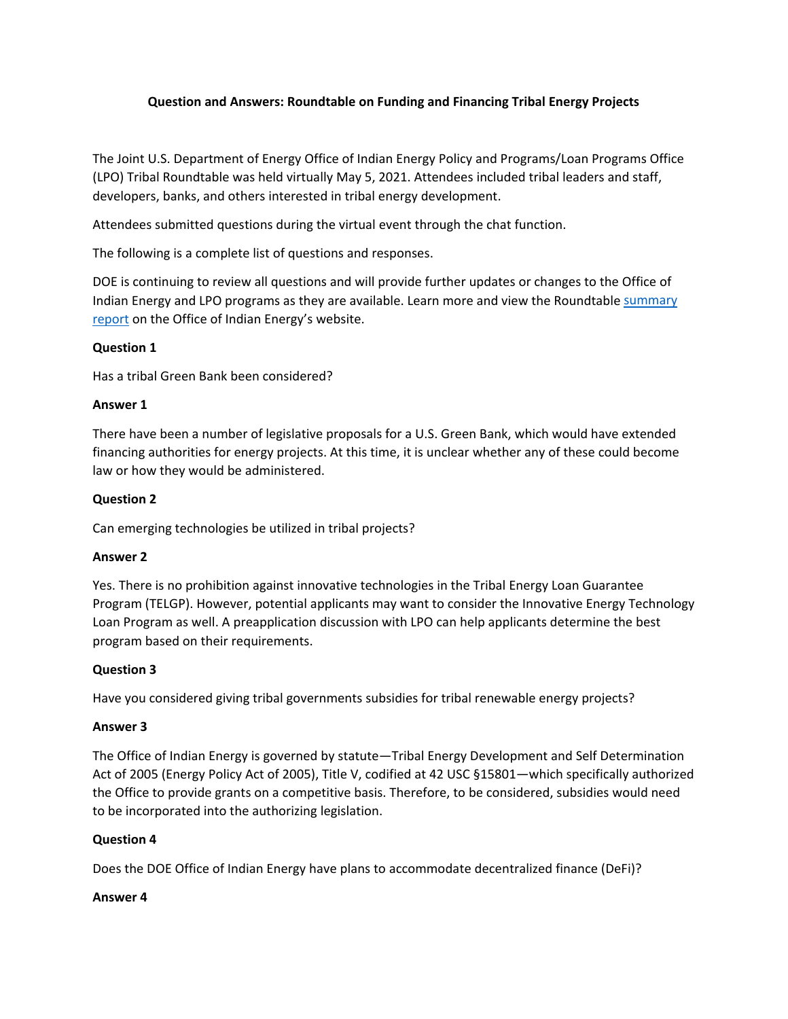## **Question and Answers: Roundtable on Funding and Financing Tribal Energy Projects**

The Joint U.S. Department of Energy Office of Indian Energy Policy and Programs/Loan Programs Office (LPO) Tribal Roundtable was held virtually May 5, 2021. Attendees included tribal leaders and staff, developers, banks, and others interested in tribal energy development.

Attendees submitted questions during the virtual event through the chat function.

The following is a complete list of questions and responses.

DOE is continuing to review all questions and will provide further updates or changes to the Office of Indian Energy and LPO programs as they are available. Learn more and view the Roundtable summary [report](https://energy.gov/indianenergy/roundtable-funding-and-financing-tribal-energy-projects) on the Office of Indian Energy's website.

### **Question 1**

Has a tribal Green Bank been considered?

### **Answer 1**

There have been a number of legislative proposals for a U.S. Green Bank, which would have extended financing authorities for energy projects. At this time, it is unclear whether any of these could become law or how they would be administered.

### **Question 2**

Can emerging technologies be utilized in tribal projects?

#### **Answer 2**

Yes. There is no prohibition against innovative technologies in the Tribal Energy Loan Guarantee Program (TELGP). However, potential applicants may want to consider the Innovative Energy Technology Loan Program as well. A preapplication discussion with LPO can help applicants determine the best program based on their requirements.

### **Question 3**

Have you considered giving tribal governments subsidies for tribal renewable energy projects?

### **Answer 3**

The Office of Indian Energy is governed by statute—Tribal Energy Development and Self Determination Act of 2005 (Energy Policy Act of 2005), Title V, codified at 42 USC §15801—which specifically authorized the Office to provide grants on a competitive basis. Therefore, to be considered, subsidies would need to be incorporated into the authorizing legislation.

### **Question 4**

Does the DOE Office of Indian Energy have plans to accommodate decentralized finance (DeFi)?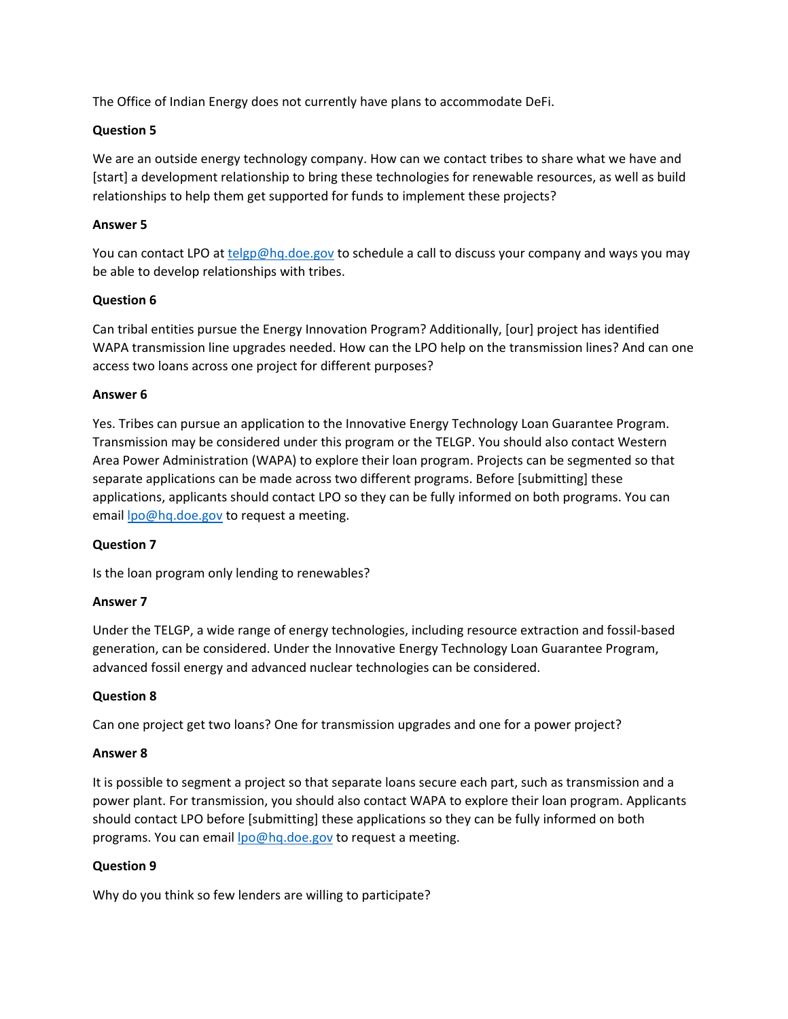The Office of Indian Energy does not currently have plans to accommodate DeFi.

## **Question 5**

We are an outside energy technology company. How can we contact tribes to share what we have and [start] a development relationship to bring these technologies for renewable resources, as well as build relationships to help them get supported for funds to implement these projects?

## **Answer 5**

You can contact LPO at [telgp@hq.doe.gov](mailto:telgp@hq.doe.gov) to schedule a call to discuss your company and ways you may be able to develop relationships with tribes.

## **Question 6**

Can tribal entities pursue the Energy Innovation Program? Additionally, [our] project has identified WAPA transmission line upgrades needed. How can the LPO help on the transmission lines? And can one access two loans across one project for different purposes?

### **Answer 6**

Yes. Tribes can pursue an application to the Innovative Energy Technology Loan Guarantee Program. Transmission may be considered under this program or the TELGP. You should also contact Western Area Power Administration (WAPA) to explore their loan program. Projects can be segmented so that separate applications can be made across two different programs. Before [submitting] these applications, applicants should contact LPO so they can be fully informed on both programs. You can email [lpo@hq.doe.gov](mailto:lpo@hq.doe.gov) to request a meeting.

### **Question 7**

Is the loan program only lending to renewables?

### **Answer 7**

Under the TELGP, a wide range of energy technologies, including resource extraction and fossil-based generation, can be considered. Under the Innovative Energy Technology Loan Guarantee Program, advanced fossil energy and advanced nuclear technologies can be considered.

### **Question 8**

Can one project get two loans? One for transmission upgrades and one for a power project?

### **Answer 8**

It is possible to segment a project so that separate loans secure each part, such as transmission and a power plant. For transmission, you should also contact WAPA to explore their loan program. Applicants should contact LPO before [submitting] these applications so they can be fully informed on both programs. You can emai[l lpo@hq.doe.gov](mailto:lpo@hq.doe.gov) to request a meeting.

### **Question 9**

Why do you think so few lenders are willing to participate?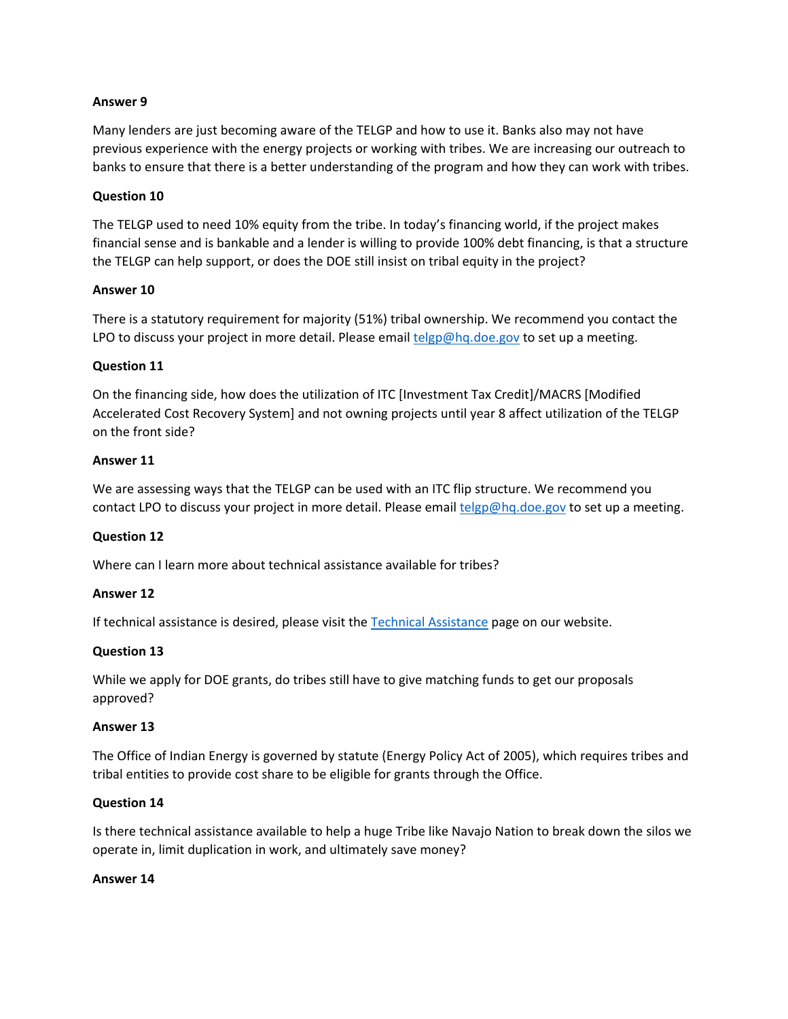#### **Answer 9**

Many lenders are just becoming aware of the TELGP and how to use it. Banks also may not have previous experience with the energy projects or working with tribes. We are increasing our outreach to banks to ensure that there is a better understanding of the program and how they can work with tribes.

#### **Question 10**

The TELGP used to need 10% equity from the tribe. In today's financing world, if the project makes financial sense and is bankable and a lender is willing to provide 100% debt financing, is that a structure the TELGP can help support, or does the DOE still insist on tribal equity in the project?

#### **Answer 10**

There is a statutory requirement for majority (51%) tribal ownership. We recommend you contact the LPO to discuss your project in more detail. Please email [telgp@hq.doe.gov](mailto:telgp@hq.doe.gov) to set up a meeting.

#### **Question 11**

On the financing side, how does the utilization of ITC [Investment Tax Credit]/MACRS [Modified Accelerated Cost Recovery System] and not owning projects until year 8 affect utilization of the TELGP on the front side?

#### **Answer 11**

We are assessing ways that the TELGP can be used with an ITC flip structure. We recommend you contact LPO to discuss your project in more detail. Please email [telgp@hq.doe.gov](mailto:telgp@hq.doe.gov) to set up a meeting.

### **Question 12**

Where can I learn more about technical assistance available for tribes?

### **Answer 12**

If technical assistance is desired, please visit the [Technical Assistance](http://www.energy.gov/indianenergy/technical-assistance) page on our website.

### **Question 13**

While we apply for DOE grants, do tribes still have to give matching funds to get our proposals approved?

#### **Answer 13**

The Office of Indian Energy is governed by statute (Energy Policy Act of 2005), which requires tribes and tribal entities to provide cost share to be eligible for grants through the Office.

### **Question 14**

Is there technical assistance available to help a huge Tribe like Navajo Nation to break down the silos we operate in, limit duplication in work, and ultimately save money?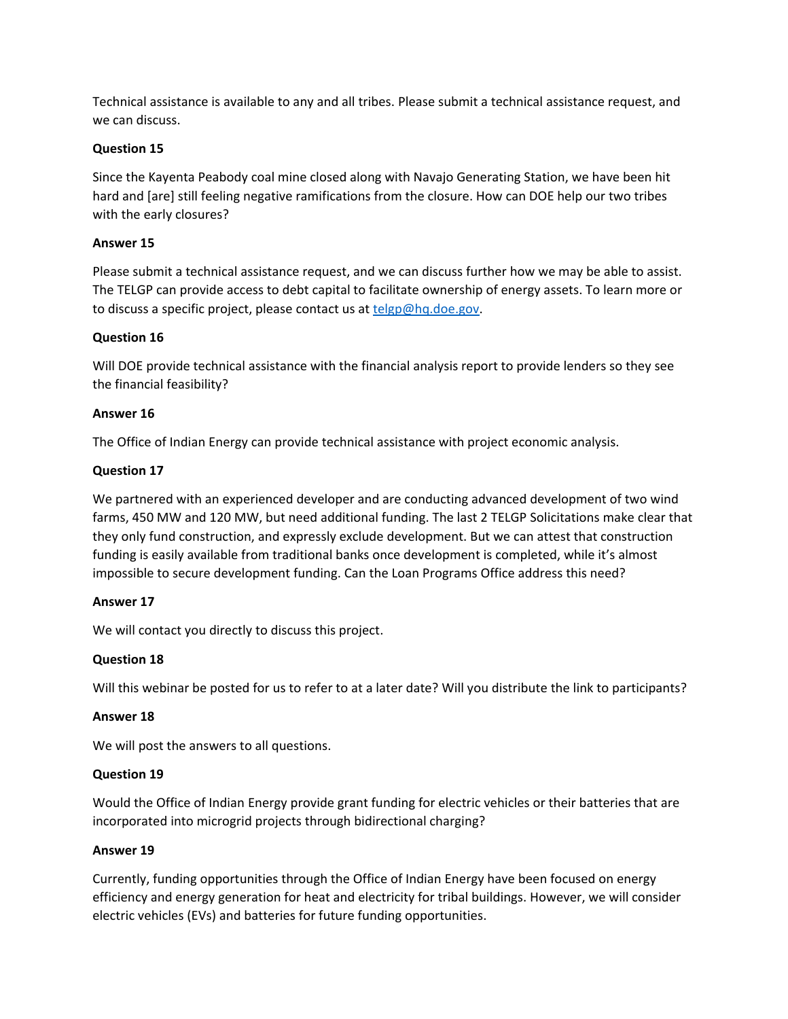Technical assistance is available to any and all tribes. Please submit a technical assistance request, and we can discuss.

## **Question 15**

Since the Kayenta Peabody coal mine closed along with Navajo Generating Station, we have been hit hard and [are] still feeling negative ramifications from the closure. How can DOE help our two tribes with the early closures?

## **Answer 15**

Please submit a technical assistance request, and we can discuss further how we may be able to assist. The TELGP can provide access to debt capital to facilitate ownership of energy assets. To learn more or to discuss a specific project, please contact us at [telgp@hq.doe.gov.](mailto:telgp@hq.doe.gov)

## **Question 16**

Will DOE provide technical assistance with the financial analysis report to provide lenders so they see the financial feasibility?

## **Answer 16**

The Office of Indian Energy can provide technical assistance with project economic analysis.

## **Question 17**

We partnered with an experienced developer and are conducting advanced development of two wind farms, 450 MW and 120 MW, but need additional funding. The last 2 TELGP Solicitations make clear that they only fund construction, and expressly exclude development. But we can attest that construction funding is easily available from traditional banks once development is completed, while it's almost impossible to secure development funding. Can the Loan Programs Office address this need?

### **Answer 17**

We will contact you directly to discuss this project.

### **Question 18**

Will this webinar be posted for us to refer to at a later date? Will you distribute the link to participants?

### **Answer 18**

We will post the answers to all questions.

### **Question 19**

Would the Office of Indian Energy provide grant funding for electric vehicles or their batteries that are incorporated into microgrid projects through bidirectional charging?

### **Answer 19**

Currently, funding opportunities through the Office of Indian Energy have been focused on energy efficiency and energy generation for heat and electricity for tribal buildings. However, we will consider electric vehicles (EVs) and batteries for future funding opportunities.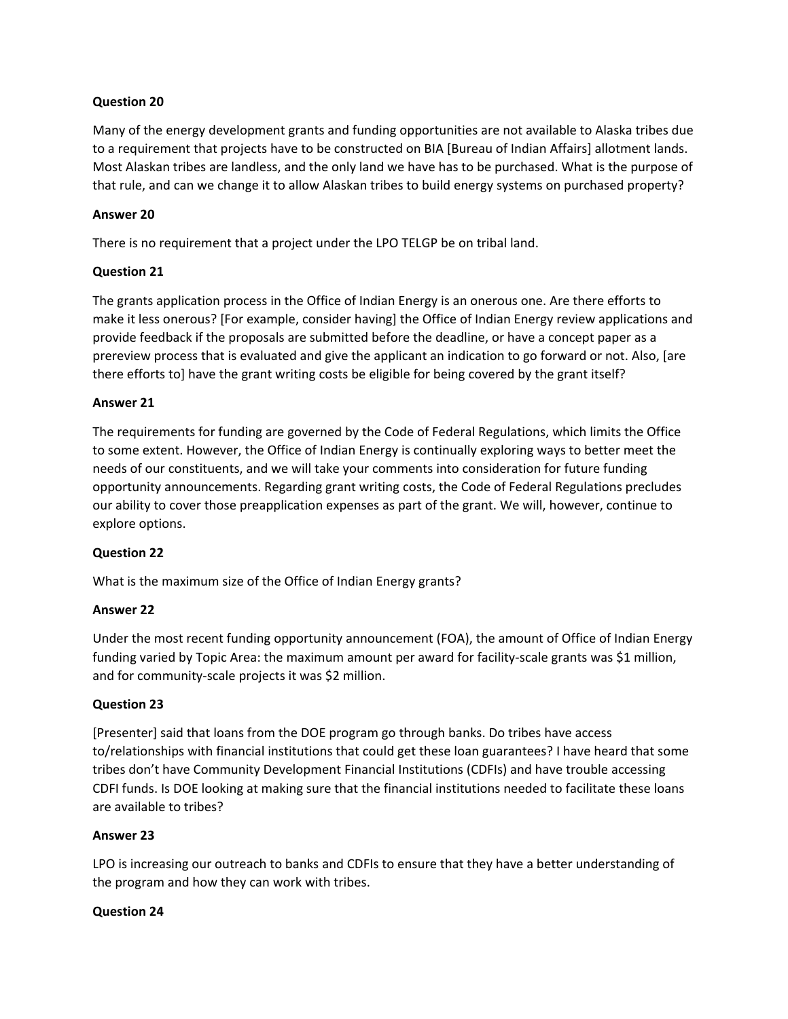## **Question 20**

Many of the energy development grants and funding opportunities are not available to Alaska tribes due to a requirement that projects have to be constructed on BIA [Bureau of Indian Affairs] allotment lands. Most Alaskan tribes are landless, and the only land we have has to be purchased. What is the purpose of that rule, and can we change it to allow Alaskan tribes to build energy systems on purchased property?

## **Answer 20**

There is no requirement that a project under the LPO TELGP be on tribal land.

## **Question 21**

The grants application process in the Office of Indian Energy is an onerous one. Are there efforts to make it less onerous? [For example, consider having] the Office of Indian Energy review applications and provide feedback if the proposals are submitted before the deadline, or have a concept paper as a prereview process that is evaluated and give the applicant an indication to go forward or not. Also, [are there efforts to] have the grant writing costs be eligible for being covered by the grant itself?

## **Answer 21**

The requirements for funding are governed by the Code of Federal Regulations, which limits the Office to some extent. However, the Office of Indian Energy is continually exploring ways to better meet the needs of our constituents, and we will take your comments into consideration for future funding opportunity announcements. Regarding grant writing costs, the Code of Federal Regulations precludes our ability to cover those preapplication expenses as part of the grant. We will, however, continue to explore options.

# **Question 22**

What is the maximum size of the Office of Indian Energy grants?

### **Answer 22**

Under the most recent funding opportunity announcement (FOA), the amount of Office of Indian Energy funding varied by Topic Area: the maximum amount per award for facility-scale grants was \$1 million, and for community-scale projects it was \$2 million.

### **Question 23**

[Presenter] said that loans from the DOE program go through banks. Do tribes have access to/relationships with financial institutions that could get these loan guarantees? I have heard that some tribes don't have Community Development Financial Institutions (CDFIs) and have trouble accessing CDFI funds. Is DOE looking at making sure that the financial institutions needed to facilitate these loans are available to tribes?

### **Answer 23**

LPO is increasing our outreach to banks and CDFIs to ensure that they have a better understanding of the program and how they can work with tribes.

### **Question 24**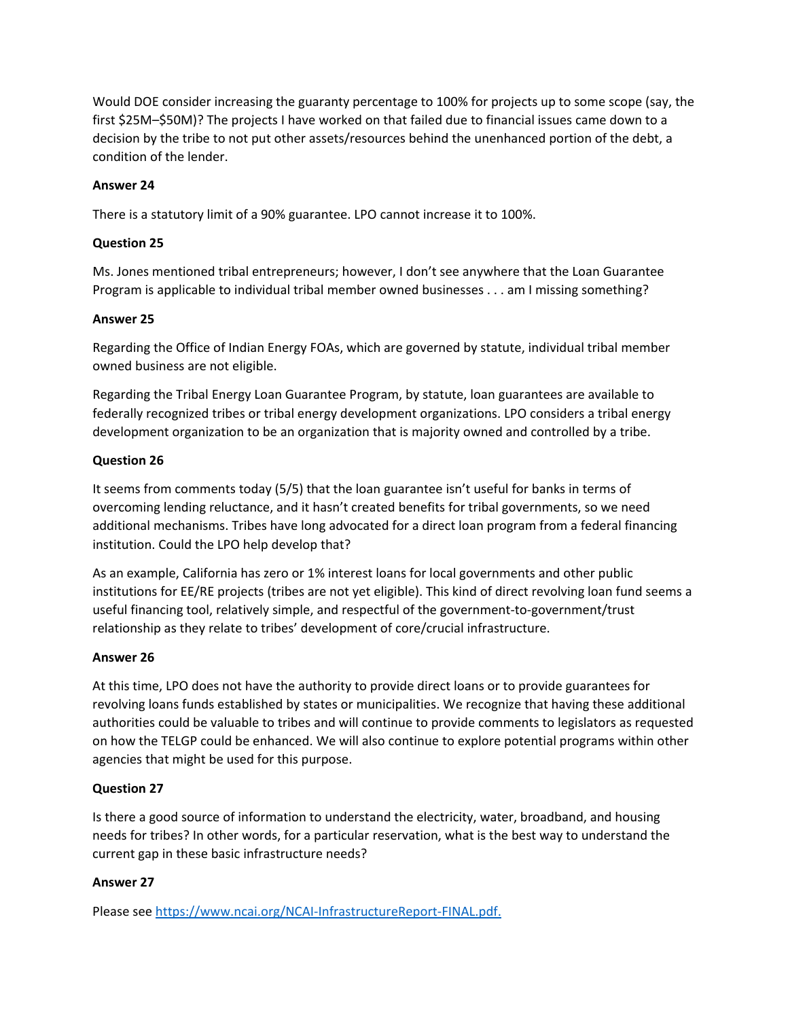Would DOE consider increasing the guaranty percentage to 100% for projects up to some scope (say, the first \$25M–\$50M)? The projects I have worked on that failed due to financial issues came down to a decision by the tribe to not put other assets/resources behind the unenhanced portion of the debt, a condition of the lender.

## **Answer 24**

There is a statutory limit of a 90% guarantee. LPO cannot increase it to 100%.

## **Question 25**

Ms. Jones mentioned tribal entrepreneurs; however, I don't see anywhere that the Loan Guarantee Program is applicable to individual tribal member owned businesses . . . am I missing something?

### **Answer 25**

Regarding the Office of Indian Energy FOAs, which are governed by statute, individual tribal member owned business are not eligible.

Regarding the Tribal Energy Loan Guarantee Program, by statute, loan guarantees are available to federally recognized tribes or tribal energy development organizations. LPO considers a tribal energy development organization to be an organization that is majority owned and controlled by a tribe.

## **Question 26**

It seems from comments today (5/5) that the loan guarantee isn't useful for banks in terms of overcoming lending reluctance, and it hasn't created benefits for tribal governments, so we need additional mechanisms. Tribes have long advocated for a direct loan program from a federal financing institution. Could the LPO help develop that?

As an example, California has zero or 1% interest loans for local governments and other public institutions for EE/RE projects (tribes are not yet eligible). This kind of direct revolving loan fund seems a useful financing tool, relatively simple, and respectful of the government-to-government/trust relationship as they relate to tribes' development of core/crucial infrastructure.

### **Answer 26**

At this time, LPO does not have the authority to provide direct loans or to provide guarantees for revolving loans funds established by states or municipalities. We recognize that having these additional authorities could be valuable to tribes and will continue to provide comments to legislators as requested on how the TELGP could be enhanced. We will also continue to explore potential programs within other agencies that might be used for this purpose.

# **Question 27**

Is there a good source of information to understand the electricity, water, broadband, and housing needs for tribes? In other words, for a particular reservation, what is the best way to understand the current gap in these basic infrastructure needs?

# **Answer 27**

Please see [https://www.ncai.org/NCAI-InfrastructureReport-FINAL.pdf.](https://www.ncai.org/NCAI-InfrastructureReport-FINAL.pdf)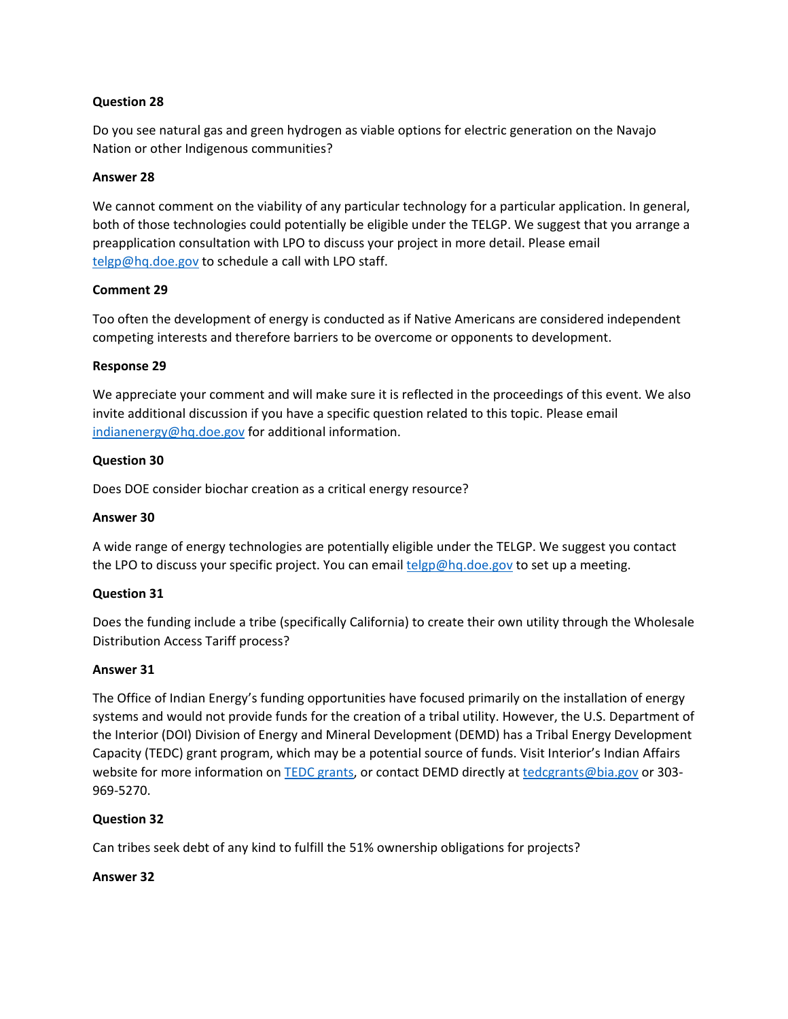## **Question 28**

Do you see natural gas and green hydrogen as viable options for electric generation on the Navajo Nation or other Indigenous communities?

### **Answer 28**

We cannot comment on the viability of any particular technology for a particular application. In general, both of those technologies could potentially be eligible under the TELGP. We suggest that you arrange a preapplication consultation with LPO to discuss your project in more detail. Please email [telgp@hq.doe.gov](mailto:telgp@hq.doe.gov) to schedule a call with LPO staff.

### **Comment 29**

Too often the development of energy is conducted as if Native Americans are considered independent competing interests and therefore barriers to be overcome or opponents to development.

## **Response 29**

We appreciate your comment and will make sure it is reflected in the proceedings of this event. We also invite additional discussion if you have a specific question related to this topic. Please email [indianenergy@hq.doe.gov](mailto:indianenergy@hq.doe.gov) for additional information.

## **Question 30**

Does DOE consider biochar creation as a critical energy resource?

## **Answer 30**

A wide range of energy technologies are potentially eligible under the TELGP. We suggest you contact the LPO to discuss your specific project. You can email [telgp@hq.doe.gov](mailto:telgp@hq.doe.gov) to set up a meeting.

# **Question 31**

Does the funding include a tribe (specifically California) to create their own utility through the Wholesale Distribution Access Tariff process?

### **Answer 31**

The Office of Indian Energy's funding opportunities have focused primarily on the installation of energy systems and would not provide funds for the creation of a tribal utility. However, the U.S. Department of the Interior (DOI) Division of Energy and Mineral Development (DEMD) has a Tribal Energy Development Capacity (TEDC) grant program, which may be a potential source of funds. Visit Interior's Indian Affairs website for more information on [TEDC grants,](https://www.bia.gov/service/grants/tedc) or contact DEMD directly at [tedcgrants@bia.gov](mailto:tedcgrants@bia.gov) or 303-969-5270.

### **Question 32**

Can tribes seek debt of any kind to fulfill the 51% ownership obligations for projects?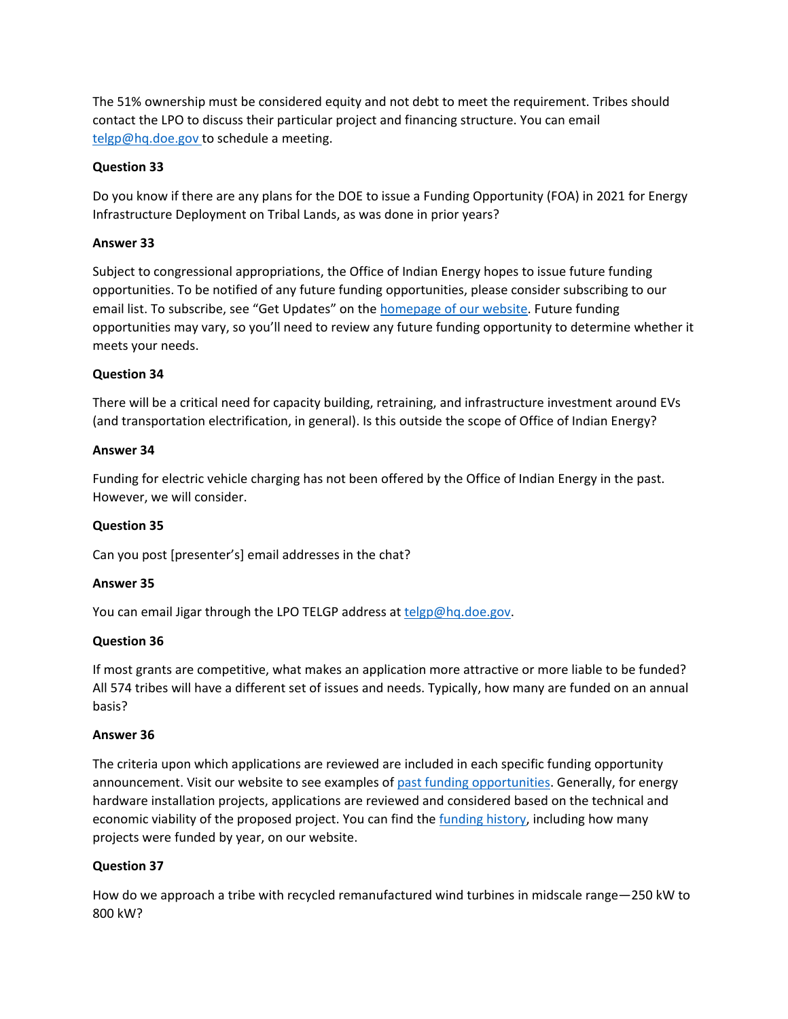The 51% ownership must be considered equity and not debt to meet the requirement. Tribes should contact the LPO to discuss their particular project and financing structure. You can email [telgp@hq.doe.gov](mailto:telgp@hq.doe.gov) to schedule a meeting.

## **Question 33**

Do you know if there are any plans for the DOE to issue a Funding Opportunity (FOA) in 2021 for Energy Infrastructure Deployment on Tribal Lands, as was done in prior years?

## **Answer 33**

Subject to congressional appropriations, the Office of Indian Energy hopes to issue future funding opportunities. To be notified of any future funding opportunities, please consider subscribing to our email list. To subscribe, see "Get Updates" on the homepage [of our website.](http://www.energy.gov/indianenergy) Future funding opportunities may vary, so you'll need to review any future funding opportunity to determine whether it meets your needs.

## **Question 34**

There will be a critical need for capacity building, retraining, and infrastructure investment around EVs (and transportation electrification, in general). Is this outside the scope of Office of Indian Energy?

### **Answer 34**

Funding for electric vehicle charging has not been offered by the Office of Indian Energy in the past. However, we will consider.

### **Question 35**

Can you post [presenter's] email addresses in the chat?

### **Answer 35**

You can email Jigar through the LPO TELGP address at [telgp@hq.doe.gov.](mailto:telgp@hq.doe.gov)

### **Question 36**

If most grants are competitive, what makes an application more attractive or more liable to be funded? All 574 tribes will have a different set of issues and needs. Typically, how many are funded on an annual basis?

### **Answer 36**

The criteria upon which applications are reviewed are included in each specific funding opportunity announcement. Visit our website to see examples of [past funding opportunities.](https://www.energy.gov/indianenergy/past-funding-opportunities) Generally, for energy hardware installation projects, applications are reviewed and considered based on the technical and economic viability of the proposed project. You can find the *funding history*, including how many projects were funded by year, on our website.

# **Question 37**

How do we approach a tribe with recycled remanufactured wind turbines in midscale range—250 kW to 800 kW?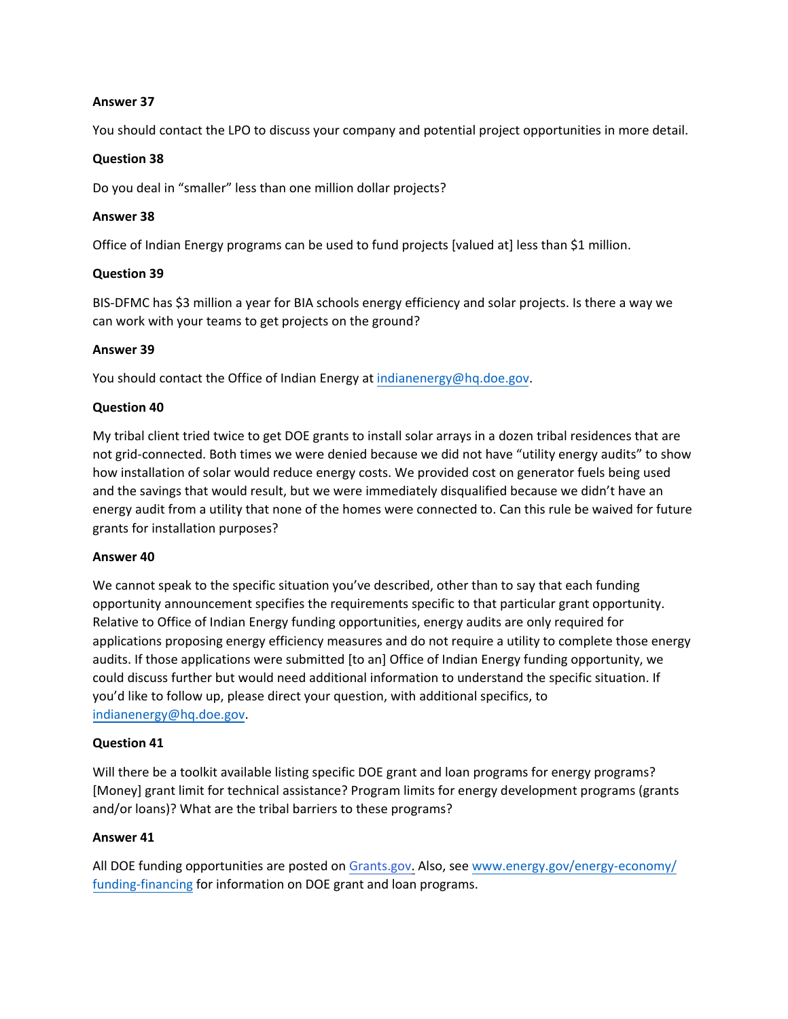## **Answer 37**

You should contact the LPO to discuss your company and potential project opportunities in more detail.

### **Question 38**

Do you deal in "smaller" less than one million dollar projects?

## **Answer 38**

Office of Indian Energy programs can be used to fund projects [valued at] less than \$1 million.

## **Question 39**

BIS-DFMC has \$3 million a year for BIA schools energy efficiency and solar projects. Is there a way we can work with your teams to get projects on the ground?

## **Answer 39**

You should contact the Office of Indian Energy at [indianenergy@hq.doe.gov.](mailto:indianenergy@hq.doe.gov)

## **Question 40**

My tribal client tried twice to get DOE grants to install solar arrays in a dozen tribal residences that are not grid-connected. Both times we were denied because we did not have "utility energy audits" to show how installation of solar would reduce energy costs. We provided cost on generator fuels being used and the savings that would result, but we were immediately disqualified because we didn't have an energy audit from a utility that none of the homes were connected to. Can this rule be waived for future grants for installation purposes?

### **Answer 40**

We cannot speak to the specific situation you've described, other than to say that each funding opportunity announcement specifies the requirements specific to that particular grant opportunity. Relative to Office of Indian Energy funding opportunities, energy audits are only required for applications proposing energy efficiency measures and do not require a utility to complete those energy audits. If those applications were submitted [to an] Office of Indian Energy funding opportunity, we could discuss further but would need additional information to understand the specific situation. If you'd like to follow up, please direct your question, with additional specifics, to [indianenergy@hq.doe.gov.](mailto:indianenergy@hq.doe.gov)

### **Question 41**

Will there be a toolkit available listing specific DOE grant and loan programs for energy programs? [Money] grant limit for technical assistance? Program limits for energy development programs (grants and/or loans)? What are the tribal barriers to these programs?

### **Answer 41**

All DOE funding opportunities are posted on [Grants.gov.](https://www.grants.gov/) Also, see [www.energy.gov/energy-economy/](https://www.energy.gov/energy-economy/funding-financing) [funding-financing](https://www.energy.gov/energy-economy/funding-financing) for information on DOE grant and loan programs.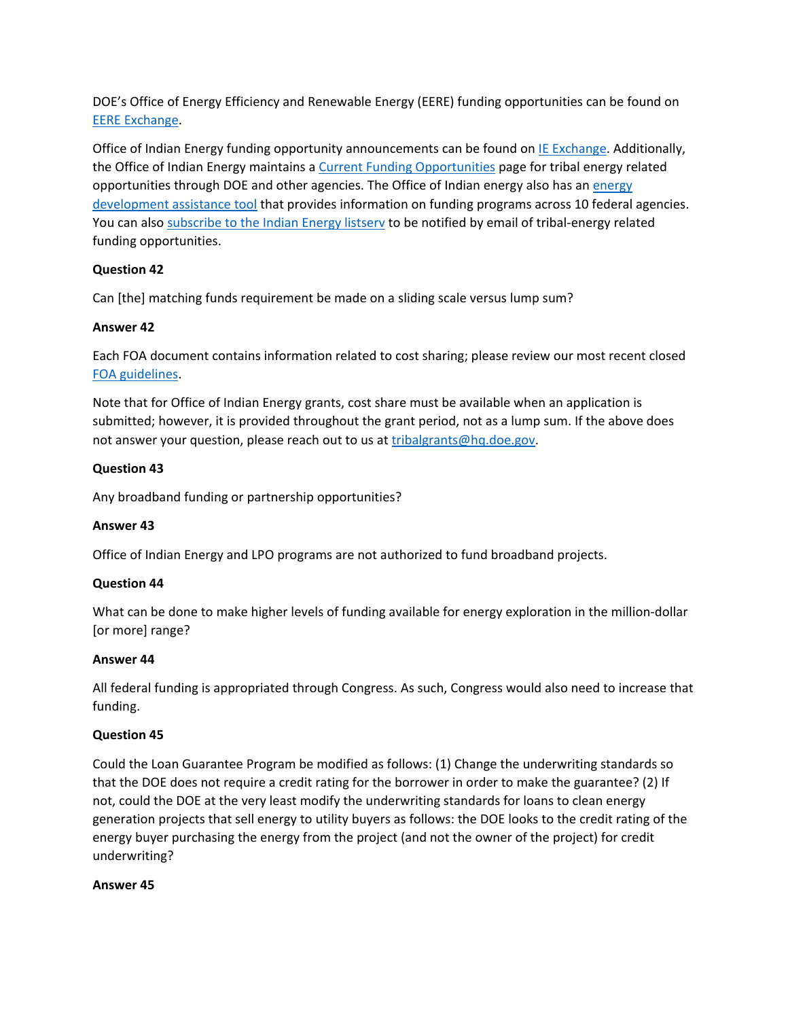DOE's Office of Energy Efficiency and Renewable Energy (EERE) funding opportunities can be found on [EERE Exchange.](https://eere-exchange.energy.gov/)

Office of Indian Energy funding opportunity announcements can be found o[n IE Exchange.](https://ie-exchange.energy.gov/) Additionally, the Office of Indian Energy maintains a [Current Funding Opportunities](https://www.energy.gov/indianenergy/current-funding-opportunities) page for tribal energy related opportunities through DOE and other agencies. The Office of Indian energy also has an [energy](https://www.energy.gov/indianenergy/energy-development-assistance-tool)  [development assistance tool](https://www.energy.gov/indianenergy/energy-development-assistance-tool) that provides information on funding programs across 10 federal agencies. You can also [subscribe to the Indian Energy listserv](https://public.govdelivery.com/accounts/USEERE/signup/17672) to be notified by email of tribal-energy related funding opportunities.

# **Question 42**

Can [the] matching funds requirement be made on a sliding scale versus lump sum?

## **Answer 42**

Each FOA document contains information related to cost sharing; please review our most recent closed [FOA guidelines.](https://www.energy.gov/indianenergy/past-funding-opportunities)

Note that for Office of Indian Energy grants, cost share must be available when an application is submitted; however, it is provided throughout the grant period, not as a lump sum. If the above does not answer your question, please reach out to us at [tribalgrants@hq.doe.gov.](mailto:tribalgrants@hq.doe.gov)

## **Question 43**

Any broadband funding or partnership opportunities?

### **Answer 43**

Office of Indian Energy and LPO programs are not authorized to fund broadband projects.

### **Question 44**

What can be done to make higher levels of funding available for energy exploration in the million-dollar [or more] range?

### **Answer 44**

All federal funding is appropriated through Congress. As such, Congress would also need to increase that funding.

### **Question 45**

Could the Loan Guarantee Program be modified as follows: (1) Change the underwriting standards so that the DOE does not require a credit rating for the borrower in order to make the guarantee? (2) If not, could the DOE at the very least modify the underwriting standards for loans to clean energy generation projects that sell energy to utility buyers as follows: the DOE looks to the credit rating of the energy buyer purchasing the energy from the project (and not the owner of the project) for credit underwriting?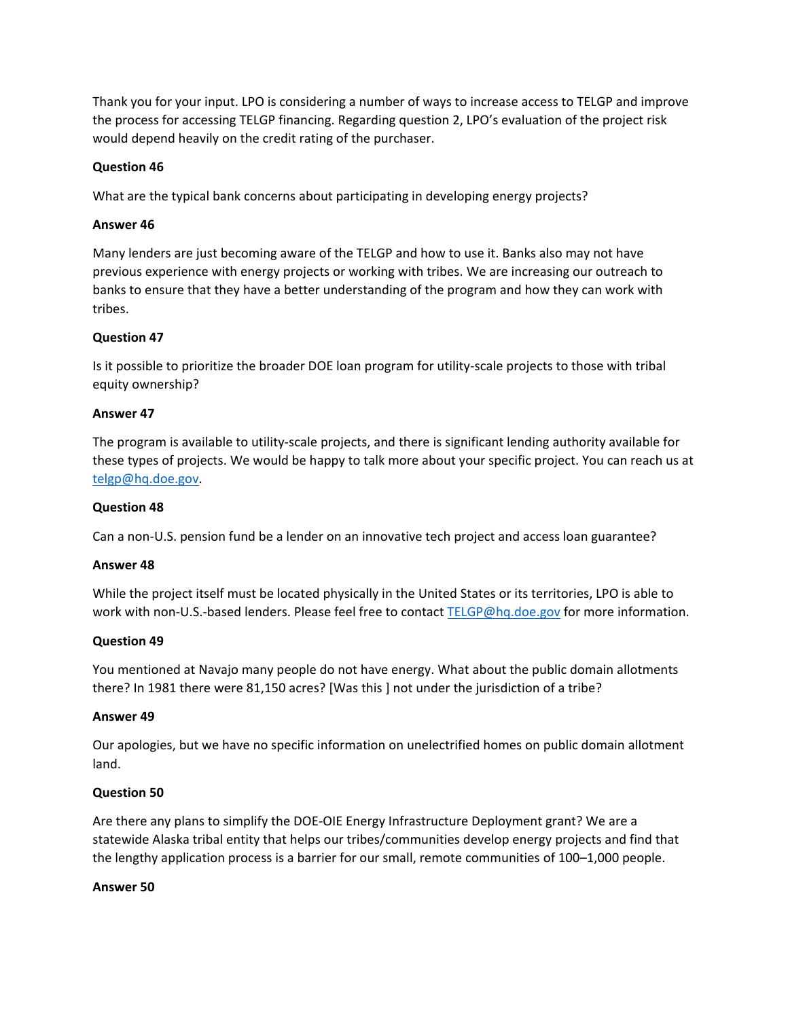Thank you for your input. LPO is considering a number of ways to increase access to TELGP and improve the process for accessing TELGP financing. Regarding question 2, LPO's evaluation of the project risk would depend heavily on the credit rating of the purchaser.

## **Question 46**

What are the typical bank concerns about participating in developing energy projects?

### **Answer 46**

Many lenders are just becoming aware of the TELGP and how to use it. Banks also may not have previous experience with energy projects or working with tribes. We are increasing our outreach to banks to ensure that they have a better understanding of the program and how they can work with tribes.

### **Question 47**

Is it possible to prioritize the broader DOE loan program for utility-scale projects to those with tribal equity ownership?

#### **Answer 47**

The program is available to utility-scale projects, and there is significant lending authority available for these types of projects. We would be happy to talk more about your specific project. You can reach us at [telgp@hq.doe.gov.](mailto:telgp@hq.doe.gov)

#### **Question 48**

Can a non-U.S. pension fund be a lender on an innovative tech project and access loan guarantee?

#### **Answer 48**

While the project itself must be located physically in the United States or its territories, LPO is able to work with non-U.S.-based lenders. Please feel free to contac[t TELGP@hq.doe.gov](mailto:TELGP@hq.doe.gov) for more information.

#### **Question 49**

You mentioned at Navajo many people do not have energy. What about the public domain allotments there? In 1981 there were 81,150 acres? [Was this ] not under the jurisdiction of a tribe?

#### **Answer 49**

Our apologies, but we have no specific information on unelectrified homes on public domain allotment land.

### **Question 50**

Are there any plans to simplify the DOE-OIE Energy Infrastructure Deployment grant? We are a statewide Alaska tribal entity that helps our tribes/communities develop energy projects and find that the lengthy application process is a barrier for our small, remote communities of 100–1,000 people.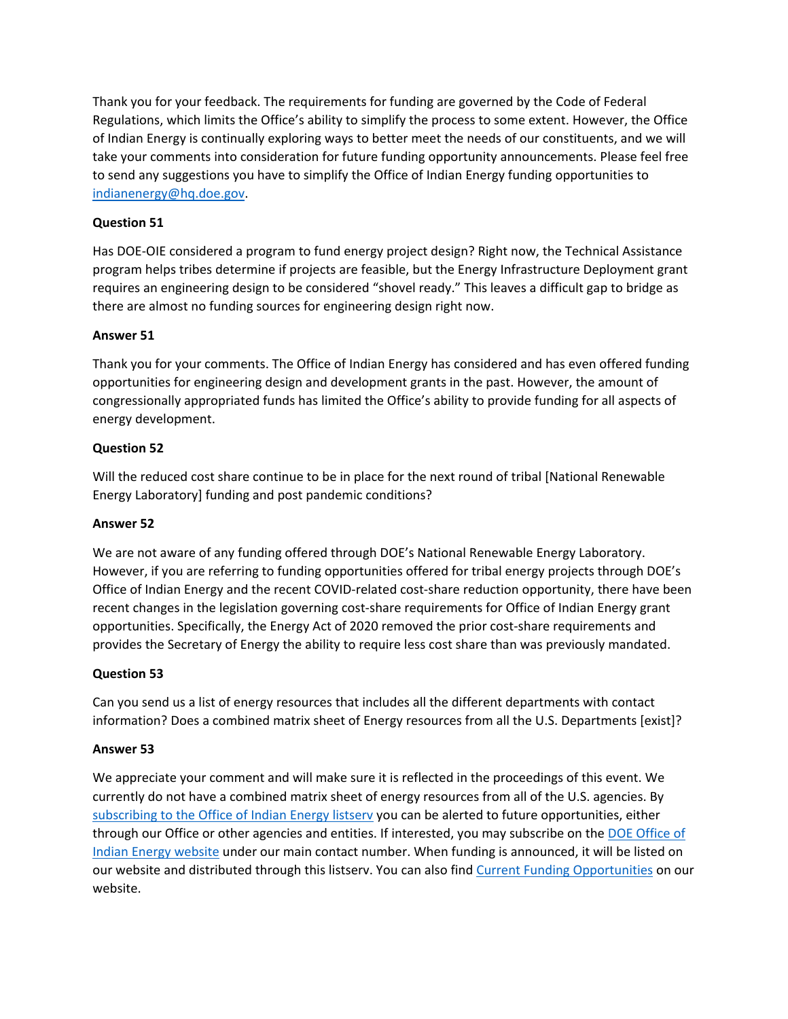Thank you for your feedback. The requirements for funding are governed by the Code of Federal Regulations, which limits the Office's ability to simplify the process to some extent. However, the Office of Indian Energy is continually exploring ways to better meet the needs of our constituents, and we will take your comments into consideration for future funding opportunity announcements. Please feel free to send any suggestions you have to simplify the Office of Indian Energy funding opportunities to [indianenergy@hq.doe.gov.](mailto:indianenergy@hq.doe.gov)

## **Question 51**

Has DOE-OIE considered a program to fund energy project design? Right now, the Technical Assistance program helps tribes determine if projects are feasible, but the Energy Infrastructure Deployment grant requires an engineering design to be considered "shovel ready." This leaves a difficult gap to bridge as there are almost no funding sources for engineering design right now.

### **Answer 51**

Thank you for your comments. The Office of Indian Energy has considered and has even offered funding opportunities for engineering design and development grants in the past. However, the amount of congressionally appropriated funds has limited the Office's ability to provide funding for all aspects of energy development.

## **Question 52**

Will the reduced cost share continue to be in place for the next round of tribal [National Renewable Energy Laboratory] funding and post pandemic conditions?

### **Answer 52**

We are not aware of any funding offered through DOE's National Renewable Energy Laboratory. However, if you are referring to funding opportunities offered for tribal energy projects through DOE's Office of Indian Energy and the recent COVID-related cost-share reduction opportunity, there have been recent changes in the legislation governing cost-share requirements for Office of Indian Energy grant opportunities. Specifically, the Energy Act of 2020 removed the prior cost-share requirements and provides the Secretary of Energy the ability to require less cost share than was previously mandated.

### **Question 53**

Can you send us a list of energy resources that includes all the different departments with contact information? Does a combined matrix sheet of Energy resources from all the U.S. Departments [exist]?

### **Answer 53**

We appreciate your comment and will make sure it is reflected in the proceedings of this event. We currently do not have a combined matrix sheet of energy resources from all of the U.S. agencies. By [subscribing to the Office of Indian Energy listserv](https://public.govdelivery.com/accounts/USEERE/signup/17672) you can be alerted to future opportunities, either through our Office or other agencies and entities. If interested, you may subscribe on the [DOE Office of](https://www.energy.gov/indianenergy/office-indian-energy-policy-and-programs)  [Indian Energy website](https://www.energy.gov/indianenergy/office-indian-energy-policy-and-programs) under our main contact number. When funding is announced, it will be listed on our website and distributed through this listserv. You can also find [Current Funding Opportunities](https://www.energy.gov/indianenergy/current-funding-opportunities) on our website.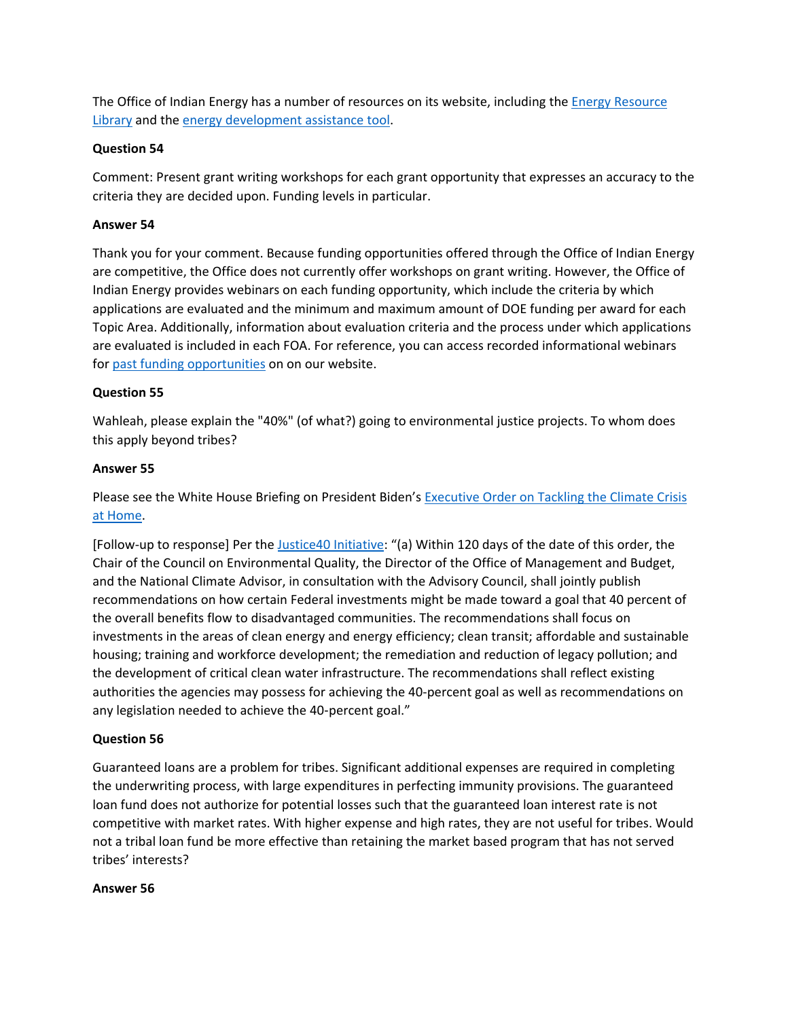The Office of Indian Energy has a number of resources on its website, including the [Energy Resource](https://www.energy.gov/indianenergy/resource-library)  [Library](https://www.energy.gov/indianenergy/resource-library) and the [energy development assistance tool.](https://www.energy.gov/indianenergy/energy-development-assistance-tool)

## **Question 54**

Comment: Present grant writing workshops for each grant opportunity that expresses an accuracy to the criteria they are decided upon. Funding levels in particular.

## **Answer 54**

Thank you for your comment. Because funding opportunities offered through the Office of Indian Energy are competitive, the Office does not currently offer workshops on grant writing. However, the Office of Indian Energy provides webinars on each funding opportunity, which include the criteria by which applications are evaluated and the minimum and maximum amount of DOE funding per award for each Topic Area. Additionally, information about evaluation criteria and the process under which applications are evaluated is included in each FOA. For reference, you can access recorded informational webinars fo[r past funding opportunities](https://www.energy.gov/indianenergy/past-funding-opportunities) on on our website.

## **Question 55**

Wahleah, please explain the "40%" (of what?) going to environmental justice projects. To whom does this apply beyond tribes?

### **Answer 55**

Please see the White House Briefing on President Biden's Executive Order on Tackling the Climate Crisis [at Home.](https://www.whitehouse.gov/briefing-room/presidential-actions/2021/01/27/executive-order-on-tackling-the-climate-crisis-at-home-and-abroad/)

[Follow-up to response] Per the [Justice40 Initiative:](https://www.whitehouse.gov/briefing-room/statements-releases/2021/01/27/fact-sheet-president-biden-takes-executive-actions-to-tackle-the-climate-crisis-at-home-and-abroad-create-jobs-and-restore-scientific-integrity-across-federal-government/) "(a) Within 120 days of the date of this order, the Chair of the Council on Environmental Quality, the Director of the Office of Management and Budget, and the National Climate Advisor, in consultation with the Advisory Council, shall jointly publish recommendations on how certain Federal investments might be made toward a goal that 40 percent of the overall benefits flow to disadvantaged communities. The recommendations shall focus on investments in the areas of clean energy and energy efficiency; clean transit; affordable and sustainable housing; training and workforce development; the remediation and reduction of legacy pollution; and the development of critical clean water infrastructure. The recommendations shall reflect existing authorities the agencies may possess for achieving the 40-percent goal as well as recommendations on any legislation needed to achieve the 40‑percent goal."

# **Question 56**

Guaranteed loans are a problem for tribes. Significant additional expenses are required in completing the underwriting process, with large expenditures in perfecting immunity provisions. The guaranteed loan fund does not authorize for potential losses such that the guaranteed loan interest rate is not competitive with market rates. With higher expense and high rates, they are not useful for tribes. Would not a tribal loan fund be more effective than retaining the market based program that has not served tribes' interests?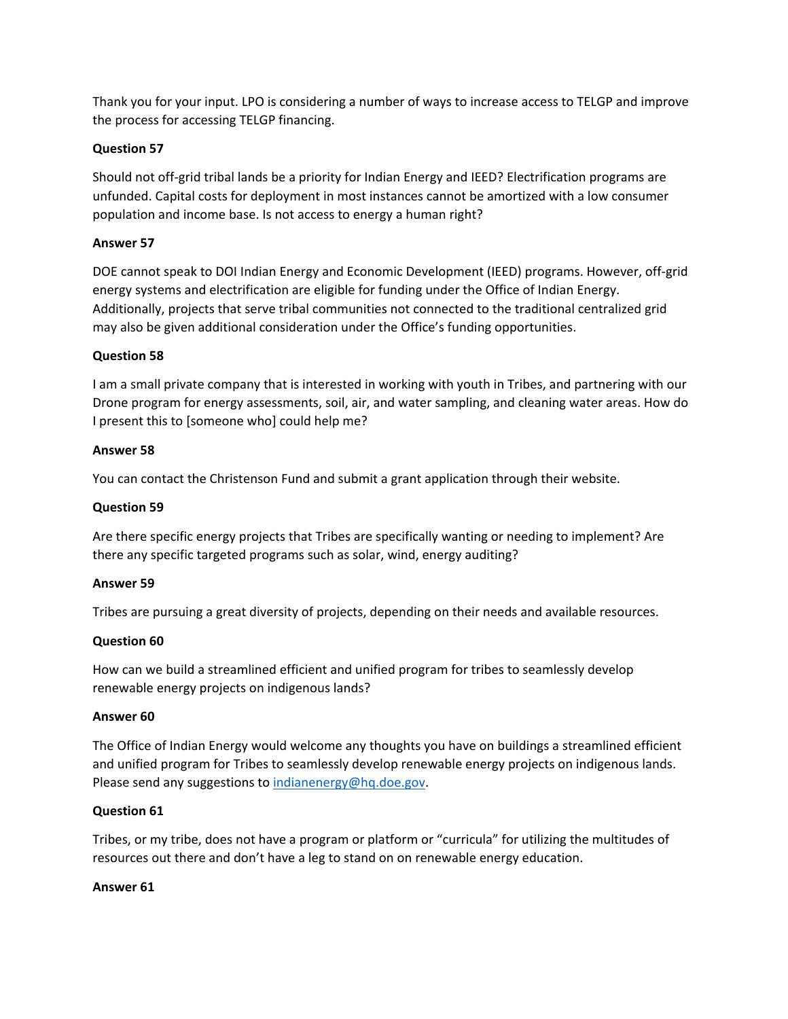Thank you for your input. LPO is considering a number of ways to increase access to TELGP and improve the process for accessing TELGP financing.

## **Question 57**

Should not off-grid tribal lands be a priority for Indian Energy and IEED? Electrification programs are unfunded. Capital costs for deployment in most instances cannot be amortized with a low consumer population and income base. Is not access to energy a human right?

## **Answer 57**

DOE cannot speak to DOI Indian Energy and Economic Development (IEED) programs. However, off-grid energy systems and electrification are eligible for funding under the Office of Indian Energy. Additionally, projects that serve tribal communities not connected to the traditional centralized grid may also be given additional consideration under the Office's funding opportunities.

### **Question 58**

I am a small private company that is interested in working with youth in Tribes, and partnering with our Drone program for energy assessments, soil, air, and water sampling, and cleaning water areas. How do I present this to [someone who] could help me?

### **Answer 58**

You can contact the Christenson Fund and submit a grant application through their website.

## **Question 59**

Are there specific energy projects that Tribes are specifically wanting or needing to implement? Are there any specific targeted programs such as solar, wind, energy auditing?

### **Answer 59**

Tribes are pursuing a great diversity of projects, depending on their needs and available resources.

### **Question 60**

How can we build a streamlined efficient and unified program for tribes to seamlessly develop renewable energy projects on indigenous lands?

### **Answer 60**

The Office of Indian Energy would welcome any thoughts you have on buildings a streamlined efficient and unified program for Tribes to seamlessly develop renewable energy projects on indigenous lands. Please send any suggestions to [indianenergy@hq.doe.gov.](mailto:indianenergy@hq.doe.gov)

### **Question 61**

Tribes, or my tribe, does not have a program or platform or "curricula" for utilizing the multitudes of resources out there and don't have a leg to stand on on renewable energy education.